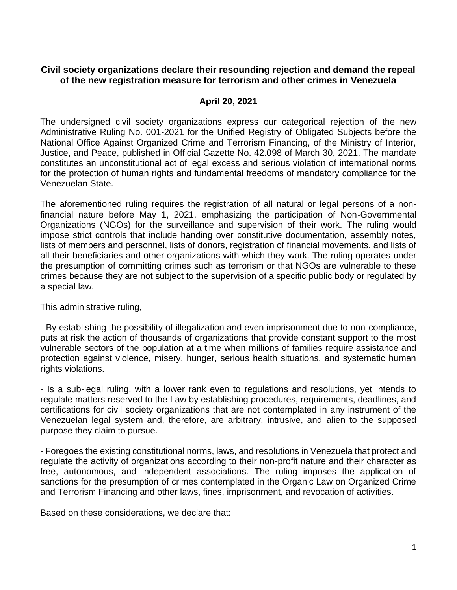## **Civil society organizations declare their resounding rejection and demand the repeal of the new registration measure for terrorism and other crimes in Venezuela**

## **April 20, 2021**

The undersigned civil society organizations express our categorical rejection of the new Administrative Ruling No. 001-2021 for the Unified Registry of Obligated Subjects before the National Office Against Organized Crime and Terrorism Financing, of the Ministry of Interior, Justice, and Peace, published in Official Gazette No. 42.098 of March 30, 2021. The mandate constitutes an unconstitutional act of legal excess and serious violation of international norms for the protection of human rights and fundamental freedoms of mandatory compliance for the Venezuelan State.

The aforementioned ruling requires the registration of all natural or legal persons of a nonfinancial nature before May 1, 2021, emphasizing the participation of Non-Governmental Organizations (NGOs) for the surveillance and supervision of their work. The ruling would impose strict controls that include handing over constitutive documentation, assembly notes, lists of members and personnel, lists of donors, registration of financial movements, and lists of all their beneficiaries and other organizations with which they work. The ruling operates under the presumption of committing crimes such as terrorism or that NGOs are vulnerable to these crimes because they are not subject to the supervision of a specific public body or regulated by a special law.

This administrative ruling,

- By establishing the possibility of illegalization and even imprisonment due to non-compliance, puts at risk the action of thousands of organizations that provide constant support to the most vulnerable sectors of the population at a time when millions of families require assistance and protection against violence, misery, hunger, serious health situations, and systematic human rights violations.

- Is a sub-legal ruling, with a lower rank even to regulations and resolutions, yet intends to regulate matters reserved to the Law by establishing procedures, requirements, deadlines, and certifications for civil society organizations that are not contemplated in any instrument of the Venezuelan legal system and, therefore, are arbitrary, intrusive, and alien to the supposed purpose they claim to pursue.

- Foregoes the existing constitutional norms, laws, and resolutions in Venezuela that protect and regulate the activity of organizations according to their non-profit nature and their character as free, autonomous, and independent associations. The ruling imposes the application of sanctions for the presumption of crimes contemplated in the Organic Law on Organized Crime and Terrorism Financing and other laws, fines, imprisonment, and revocation of activities.

Based on these considerations, we declare that: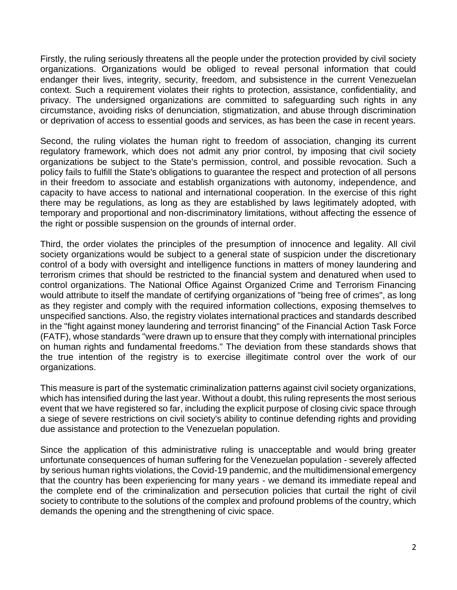Firstly, the ruling seriously threatens all the people under the protection provided by civil society organizations. Organizations would be obliged to reveal personal information that could endanger their lives, integrity, security, freedom, and subsistence in the current Venezuelan context. Such a requirement violates their rights to protection, assistance, confidentiality, and privacy. The undersigned organizations are committed to safeguarding such rights in any circumstance, avoiding risks of denunciation, stigmatization, and abuse through discrimination or deprivation of access to essential goods and services, as has been the case in recent years.

Second, the ruling violates the human right to freedom of association, changing its current regulatory framework, which does not admit any prior control, by imposing that civil society organizations be subject to the State's permission, control, and possible revocation. Such a policy fails to fulfill the State's obligations to guarantee the respect and protection of all persons in their freedom to associate and establish organizations with autonomy, independence, and capacity to have access to national and international cooperation. In the exercise of this right there may be regulations, as long as they are established by laws legitimately adopted, with temporary and proportional and non-discriminatory limitations, without affecting the essence of the right or possible suspension on the grounds of internal order.

Third, the order violates the principles of the presumption of innocence and legality. All civil society organizations would be subject to a general state of suspicion under the discretionary control of a body with oversight and intelligence functions in matters of money laundering and terrorism crimes that should be restricted to the financial system and denatured when used to control organizations. The National Office Against Organized Crime and Terrorism Financing would attribute to itself the mandate of certifying organizations of "being free of crimes", as long as they register and comply with the required information collections, exposing themselves to unspecified sanctions. Also, the registry violates international practices and standards described in the "fight against money laundering and terrorist financing" of the Financial Action Task Force (FATF), whose standards "were drawn up to ensure that they comply with international principles on human rights and fundamental freedoms." The deviation from these standards shows that the true intention of the registry is to exercise illegitimate control over the work of our organizations.

This measure is part of the systematic criminalization patterns against civil society organizations, which has intensified during the last year. Without a doubt, this ruling represents the most serious event that we have registered so far, including the explicit purpose of closing civic space through a siege of severe restrictions on civil society's ability to continue defending rights and providing due assistance and protection to the Venezuelan population.

Since the application of this administrative ruling is unacceptable and would bring greater unfortunate consequences of human suffering for the Venezuelan population - severely affected by serious human rights violations, the Covid-19 pandemic, and the multidimensional emergency that the country has been experiencing for many years - we demand its immediate repeal and the complete end of the criminalization and persecution policies that curtail the right of civil society to contribute to the solutions of the complex and profound problems of the country, which demands the opening and the strengthening of civic space.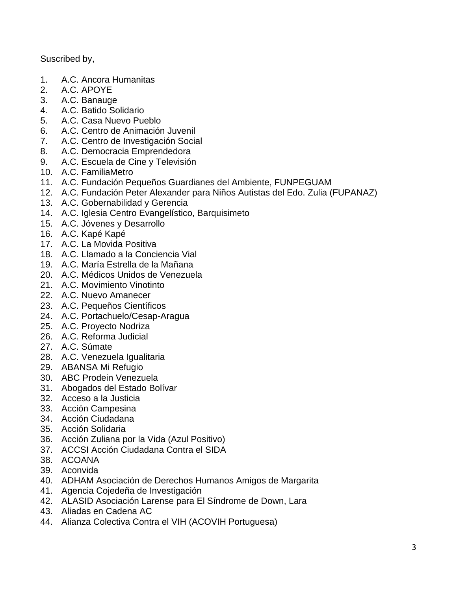Suscribed by,

- 1. A.C. Ancora Humanitas
- 2. A.C. APOYE
- 3. A.C. Banauge
- 4. A.C. Batido Solidario
- 5. A.C. Casa Nuevo Pueblo
- 6. A.C. Centro de Animación Juvenil
- 7. A.C. Centro de Investigación Social
- 8. A.C. Democracia Emprendedora
- 9. A.C. Escuela de Cine y Televisión
- 10. A.C. FamiliaMetro
- 11. A.C. Fundación Pequeños Guardianes del Ambiente, FUNPEGUAM
- 12. A.C. Fundación Peter Alexander para Niños Autistas del Edo. Zulia (FUPANAZ)
- 13. A.C. Gobernabilidad y Gerencia
- 14. A.C. Iglesia Centro Evangelístico, Barquisimeto
- 15. A.C. Jóvenes y Desarrollo
- 16. A.C. Kapé Kapé
- 17. A.C. La Movida Positiva
- 18. A.C. Llamado a la Conciencia Vial
- 19. A.C. María Estrella de la Mañana
- 20. A.C. Médicos Unidos de Venezuela
- 21. A.C. Movimiento Vinotinto
- 22. A.C. Nuevo Amanecer
- 23. A.C. Pequeños Científicos
- 24. A.C. Portachuelo/Cesap-Aragua
- 25. A.C. Proyecto Nodriza
- 26. A.C. Reforma Judicial
- 27. A.C. Súmate
- 28. A.C. Venezuela Igualitaria
- 29. ABANSA Mi Refugio
- 30. ABC Prodein Venezuela
- 31. Abogados del Estado Bolívar
- 32. Acceso a la Justicia
- 33. Acción Campesina
- 34. Acción Ciudadana
- 35. Acción Solidaria
- 36. Acción Zuliana por la Vida (Azul Positivo)
- 37. ACCSI Acción Ciudadana Contra el SIDA
- 38. ACOANA
- 39. Aconvida
- 40. ADHAM Asociación de Derechos Humanos Amigos de Margarita
- 41. Agencia Cojedeña de Investigación
- 42. ALASID Asociación Larense para El Síndrome de Down, Lara
- 43. Aliadas en Cadena AC
- 44. Alianza Colectiva Contra el VIH (ACOVIH Portuguesa)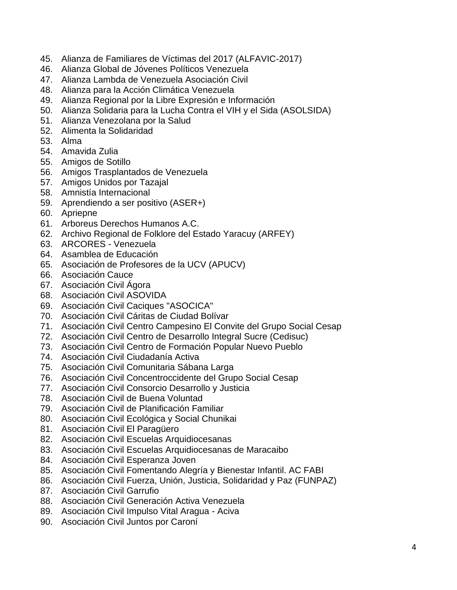- 45. Alianza de Familiares de Víctimas del 2017 (ALFAVIC-2017)
- 46. Alianza Global de Jóvenes Políticos Venezuela
- 47. Alianza Lambda de Venezuela Asociación Civil
- 48. Alianza para la Acción Climática Venezuela
- 49. Alianza Regional por la Libre Expresión e Información
- 50. Alianza Solidaria para la Lucha Contra el VIH y el Sida (ASOLSIDA)
- 51. Alianza Venezolana por la Salud
- 52. Alimenta la Solidaridad
- 53. Alma
- 54. Amavida Zulia
- 55. Amigos de Sotillo
- 56. Amigos Trasplantados de Venezuela
- 57. Amigos Unidos por Tazajal
- 58. Amnistía Internacional
- 59. Aprendiendo a ser positivo (ASER+)
- 60. Apriepne
- 61. Arboreus Derechos Humanos A.C.
- 62. Archivo Regional de Folklore del Estado Yaracuy (ARFEY)
- 63. ARCORES Venezuela
- 64. Asamblea de Educación
- 65. Asociación de Profesores de la UCV (APUCV)
- 66. Asociación Cauce
- 67. Asociación Civil Ágora
- 68. Asociación Civil ASOVIDA
- 69. Asociación Civil Caciques "ASOCICA"
- 70. Asociación Civil Cáritas de Ciudad Bolívar
- 71. Asociación Civil Centro Campesino El Convite del Grupo Social Cesap
- 72. Asociación Civil Centro de Desarrollo Integral Sucre (Cedisuc)
- 73. Asociación Civil Centro de Formación Popular Nuevo Pueblo
- 74. Asociación Civil Ciudadanía Activa
- 75. Asociación Civil Comunitaria Sábana Larga
- 76. Asociación Civil Concentroccidente del Grupo Social Cesap
- 77. Asociación Civil Consorcio Desarrollo y Justicia
- 78. Asociación Civil de Buena Voluntad
- 79. Asociación Civil de Planificación Familiar
- 80. Asociación Civil Ecológica y Social Chunikai
- 81. Asociación Civil El Paragüero
- 82. Asociación Civil Escuelas Arquidiocesanas
- 83. Asociación Civil Escuelas Arquidiocesanas de Maracaibo
- 84. Asociación Civil Esperanza Joven
- 85. Asociación Civil Fomentando Alegría y Bienestar Infantil. AC FABI
- 86. Asociación Civil Fuerza, Unión, Justicia, Solidaridad y Paz (FUNPAZ)
- 87. Asociación Civil Garrufio
- 88. Asociación Civil Generación Activa Venezuela
- 89. Asociación Civil Impulso Vital Aragua Aciva
- 90. Asociación Civil Juntos por Caroní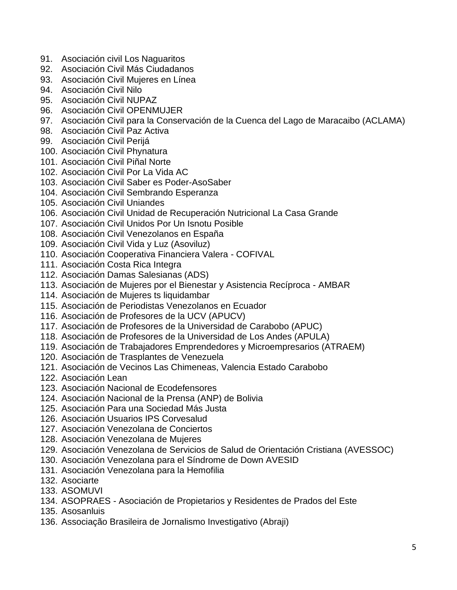- 91. Asociación civil Los Naguaritos
- 92. Asociación Civil Más Ciudadanos
- 93. Asociación Civil Mujeres en Línea
- 94. Asociación Civil Nilo
- 95. Asociación Civil NUPAZ
- 96. Asociación Civil OPENMUJER
- 97. Asociación Civil para la Conservación de la Cuenca del Lago de Maracaibo (ACLAMA)
- 98. Asociación Civil Paz Activa
- 99. Asociación Civil Perijá
- 100. Asociación Civil Phynatura
- 101. Asociación Civil Piñal Norte
- 102. Asociación Civil Por La Vida AC
- 103. Asociación Civil Saber es Poder-AsoSaber
- 104. Asociación Civil Sembrando Esperanza
- 105. Asociación Civil Uniandes
- 106. Asociación Civil Unidad de Recuperación Nutricional La Casa Grande
- 107. Asociación Civil Unidos Por Un Isnotu Posible
- 108. Asociación Civil Venezolanos en España
- 109. Asociación Civil Vida y Luz (Asoviluz)
- 110. Asociación Cooperativa Financiera Valera COFIVAL
- 111. Asociación Costa Rica Integra
- 112. Asociación Damas Salesianas (ADS)
- 113. Asociación de Mujeres por el Bienestar y Asistencia Recíproca AMBAR
- 114. Asociación de Mujeres ts liquidambar
- 115. Asociación de Periodistas Venezolanos en Ecuador
- 116. Asociación de Profesores de la UCV (APUCV)
- 117. Asociación de Profesores de la Universidad de Carabobo (APUC)
- 118. Asociación de Profesores de la Universidad de Los Andes (APULA)
- 119. Asociación de Trabajadores Emprendedores y Microempresarios (ATRAEM)
- 120. Asociación de Trasplantes de Venezuela
- 121. Asociación de Vecinos Las Chimeneas, Valencia Estado Carabobo
- 122. Asociación Lean
- 123. Asociación Nacional de Ecodefensores
- 124. Asociación Nacional de la Prensa (ANP) de Bolivia
- 125. Asociación Para una Sociedad Más Justa
- 126. Asociación Usuarios IPS Corvesalud
- 127. Asociación Venezolana de Conciertos
- 128. Asociación Venezolana de Mujeres
- 129. Asociación Venezolana de Servicios de Salud de Orientación Cristiana (AVESSOC)
- 130. Asociación Venezolana para el Síndrome de Down AVESID
- 131. Asociación Venezolana para la Hemofilia
- 132. Asociarte
- 133. ASOMUVI
- 134. ASOPRAES Asociación de Propietarios y Residentes de Prados del Este
- 135. Asosanluis
- 136. Associação Brasileira de Jornalismo Investigativo (Abraji)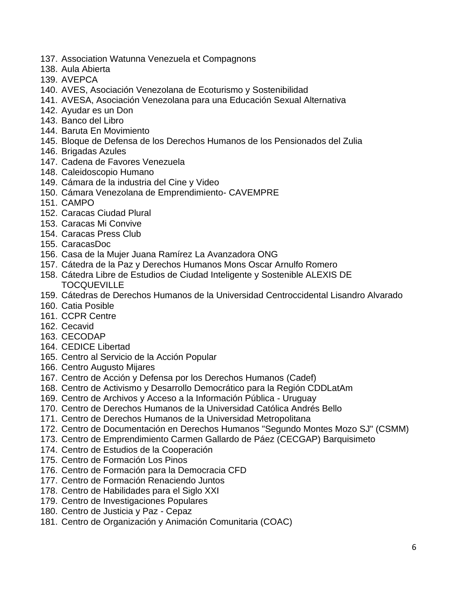- 137. Association Watunna Venezuela et Compagnons
- 138. Aula Abierta
- 139. AVEPCA
- 140. AVES, Asociación Venezolana de Ecoturismo y Sostenibilidad
- 141. AVESA, Asociación Venezolana para una Educación Sexual Alternativa
- 142. Ayudar es un Don
- 143. Banco del Libro
- 144. Baruta En Movimiento
- 145. Bloque de Defensa de los Derechos Humanos de los Pensionados del Zulia
- 146. Brigadas Azules
- 147. Cadena de Favores Venezuela
- 148. Caleidoscopio Humano
- 149. Cámara de la industria del Cine y Video
- 150. Cámara Venezolana de Emprendimiento- CAVEMPRE
- 151. CAMPO
- 152. Caracas Ciudad Plural
- 153. Caracas Mi Convive
- 154. Caracas Press Club
- 155. CaracasDoc
- 156. Casa de la Mujer Juana Ramírez La Avanzadora ONG
- 157. Cátedra de la Paz y Derechos Humanos Mons Oscar Arnulfo Romero
- 158. Cátedra Libre de Estudios de Ciudad Inteligente y Sostenible ALEXIS DE **TOCQUEVILLE**
- 159. Cátedras de Derechos Humanos de la Universidad Centroccidental Lisandro Alvarado
- 160. Catia Posible
- 161. CCPR Centre
- 162. Cecavid
- 163. CECODAP
- 164. CEDICE Libertad
- 165. Centro al Servicio de la Acción Popular
- 166. Centro Augusto Mijares
- 167. Centro de Acción y Defensa por los Derechos Humanos (Cadef)
- 168. Centro de Activismo y Desarrollo Democrático para la Región CDDLatAm
- 169. Centro de Archivos y Acceso a la Información Pública Uruguay
- 170. Centro de Derechos Humanos de la Universidad Católica Andrés Bello
- 171. Centro de Derechos Humanos de la Universidad Metropolitana
- 172. Centro de Documentación en Derechos Humanos "Segundo Montes Mozo SJ" (CSMM)
- 173. Centro de Emprendimiento Carmen Gallardo de Páez (CECGAP) Barquisimeto
- 174. Centro de Estudios de la Cooperación
- 175. Centro de Formación Los Pinos
- 176. Centro de Formación para la Democracia CFD
- 177. Centro de Formación Renaciendo Juntos
- 178. Centro de Habilidades para el Siglo XXI
- 179. Centro de Investigaciones Populares
- 180. Centro de Justicia y Paz Cepaz
- 181. Centro de Organización y Animación Comunitaria (COAC)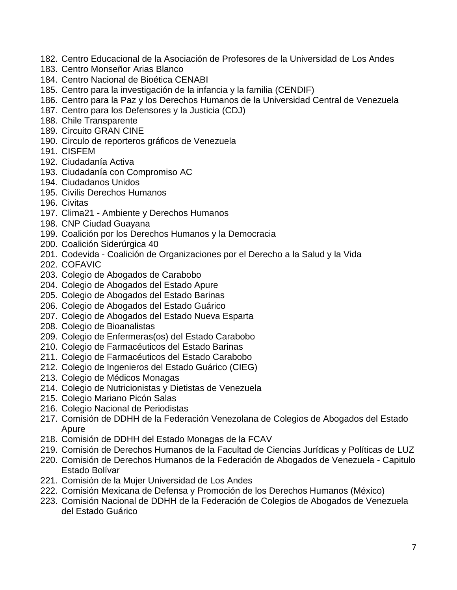- 182. Centro Educacional de la Asociación de Profesores de la Universidad de Los Andes
- 183. Centro Monseñor Arias Blanco
- 184. Centro Nacional de Bioética CENABI
- 185. Centro para la investigación de la infancia y la familia (CENDIF)
- 186. Centro para la Paz y los Derechos Humanos de la Universidad Central de Venezuela
- 187. Centro para los Defensores y la Justicia (CDJ)
- 188. Chile Transparente
- 189. Circuito GRAN CINE
- 190. Circulo de reporteros gráficos de Venezuela
- 191. CISFEM
- 192. Ciudadanía Activa
- 193. Ciudadanía con Compromiso AC
- 194. Ciudadanos Unidos
- 195. Civilis Derechos Humanos
- 196. Civitas
- 197. Clima21 Ambiente y Derechos Humanos
- 198. CNP Ciudad Guayana
- 199. Coalición por los Derechos Humanos y la Democracia
- 200. Coalición Siderúrgica 40
- 201. Codevida Coalición de Organizaciones por el Derecho a la Salud y la Vida
- 202. COFAVIC
- 203. Colegio de Abogados de Carabobo
- 204. Colegio de Abogados del Estado Apure
- 205. Colegio de Abogados del Estado Barinas
- 206. Colegio de Abogados del Estado Guárico
- 207. Colegio de Abogados del Estado Nueva Esparta
- 208. Colegio de Bioanalistas
- 209. Colegio de Enfermeras(os) del Estado Carabobo
- 210. Colegio de Farmacéuticos del Estado Barinas
- 211. Colegio de Farmacéuticos del Estado Carabobo
- 212. Colegio de Ingenieros del Estado Guárico (CIEG)
- 213. Colegio de Médicos Monagas
- 214. Colegio de Nutricionistas y Dietistas de Venezuela
- 215. Colegio Mariano Picón Salas
- 216. Colegio Nacional de Periodistas
- 217. Comisión de DDHH de la Federación Venezolana de Colegios de Abogados del Estado Apure
- 218. Comisión de DDHH del Estado Monagas de la FCAV
- 219. Comisión de Derechos Humanos de la Facultad de Ciencias Jurídicas y Políticas de LUZ
- 220. Comisión de Derechos Humanos de la Federación de Abogados de Venezuela Capitulo Estado Bolívar
- 221. Comisión de la Mujer Universidad de Los Andes
- 222. Comisión Mexicana de Defensa y Promoción de los Derechos Humanos (México)
- 223. Comisión Nacional de DDHH de la Federación de Colegios de Abogados de Venezuela del Estado Guárico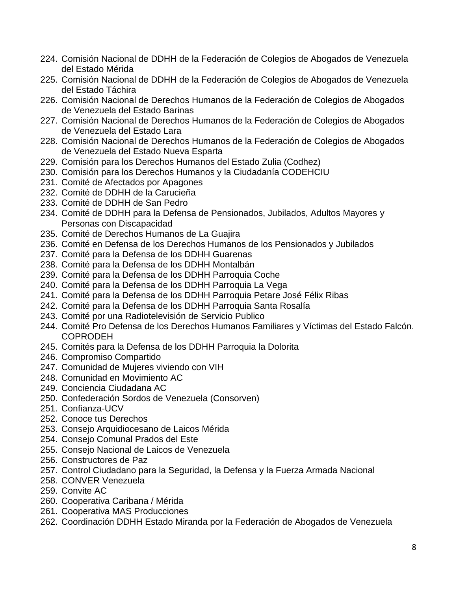- 224. Comisión Nacional de DDHH de la Federación de Colegios de Abogados de Venezuela del Estado Mérida
- 225. Comisión Nacional de DDHH de la Federación de Colegios de Abogados de Venezuela del Estado Táchira
- 226. Comisión Nacional de Derechos Humanos de la Federación de Colegios de Abogados de Venezuela del Estado Barinas
- 227. Comisión Nacional de Derechos Humanos de la Federación de Colegios de Abogados de Venezuela del Estado Lara
- 228. Comisión Nacional de Derechos Humanos de la Federación de Colegios de Abogados de Venezuela del Estado Nueva Esparta
- 229. Comisión para los Derechos Humanos del Estado Zulia (Codhez)
- 230. Comisión para los Derechos Humanos y la Ciudadanía CODEHCIU
- 231. Comité de Afectados por Apagones
- 232. Comité de DDHH de la Carucieña
- 233. Comité de DDHH de San Pedro
- 234. Comité de DDHH para la Defensa de Pensionados, Jubilados, Adultos Mayores y Personas con Discapacidad
- 235. Comité de Derechos Humanos de La Guajira
- 236. Comité en Defensa de los Derechos Humanos de los Pensionados y Jubilados
- 237. Comité para la Defensa de los DDHH Guarenas
- 238. Comité para la Defensa de los DDHH Montalbán
- 239. Comité para la Defensa de los DDHH Parroquia Coche
- 240. Comité para la Defensa de los DDHH Parroquia La Vega
- 241. Comité para la Defensa de los DDHH Parroquia Petare José Félix Ribas
- 242. Comité para la Defensa de los DDHH Parroquia Santa Rosalía
- 243. Comité por una Radiotelevisión de Servicio Publico
- 244. Comité Pro Defensa de los Derechos Humanos Familiares y Víctimas del Estado Falcón. COPRODEH
- 245. Comités para la Defensa de los DDHH Parroquia la Dolorita
- 246. Compromiso Compartido
- 247. Comunidad de Mujeres viviendo con VIH
- 248. Comunidad en Movimiento AC
- 249. Conciencia Ciudadana AC
- 250. Confederación Sordos de Venezuela (Consorven)
- 251. Confianza-UCV
- 252. Conoce tus Derechos
- 253. Consejo Arquidiocesano de Laicos Mérida
- 254. Consejo Comunal Prados del Este
- 255. Consejo Nacional de Laicos de Venezuela
- 256. Constructores de Paz
- 257. Control Ciudadano para la Seguridad, la Defensa y la Fuerza Armada Nacional
- 258. CONVER Venezuela
- 259. Convite AC
- 260. Cooperativa Caribana / Mérida
- 261. Cooperativa MAS Producciones
- 262. Coordinación DDHH Estado Miranda por la Federación de Abogados de Venezuela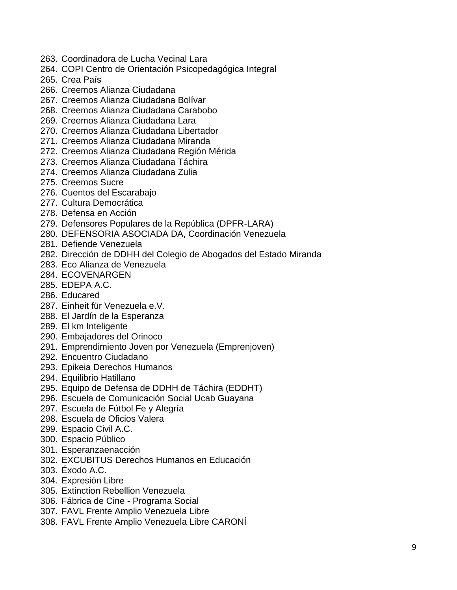- 263. Coordinadora de Lucha Vecinal Lara
- 264. COPI Centro de Orientación Psicopedagógica Integral
- 265. Crea País
- 266. Creemos Alianza Ciudadana
- 267. Creemos Alianza Ciudadana Bolívar
- 268. Creemos Alianza Ciudadana Carabobo
- 269. Creemos Alianza Ciudadana Lara
- 270. Creemos Alianza Ciudadana Libertador
- 271. Creemos Alianza Ciudadana Miranda
- 272. Creemos Alianza Ciudadana Región Mérida
- 273. Creemos Alianza Ciudadana Táchira
- 274. Creemos Alianza Ciudadana Zulia
- 275. Creemos Sucre
- 276. Cuentos del Escarabajo
- 277. Cultura Democrática
- 278. Defensa en Acción
- 279. Defensores Populares de la República (DPFR-LARA)
- 280. DEFENSORIA ASOCIADA DA, Coordinación Venezuela
- 281. Defiende Venezuela
- 282. Dirección de DDHH del Colegio de Abogados del Estado Miranda
- 283. Eco Alianza de Venezuela
- 284. ECOVENARGEN
- 285. EDEPA A.C.
- 286. Educared
- 287. Einheit für Venezuela e.V.
- 288. El Jardín de la Esperanza
- 289. El km Inteligente
- 290. Embajadores del Orinoco
- 291. Emprendimiento Joven por Venezuela (Emprenjoven)
- 292. Encuentro Ciudadano
- 293. Epikeia Derechos Humanos
- 294. Equilibrio Hatillano
- 295. Equipo de Defensa de DDHH de Táchira (EDDHT)
- 296. Escuela de Comunicación Social Ucab Guayana
- 297. Escuela de Fútbol Fe y Alegría
- 298. Escuela de Oficios Valera
- 299. Espacio Civil A.C.
- 300. Espacio Público
- 301. Esperanzaenacción
- 302. EXCUBITUS Derechos Humanos en Educación
- 303. Éxodo A.C.
- 304. Expresión Libre
- 305. Extinction Rebellion Venezuela
- 306. Fábrica de Cine Programa Social
- 307. FAVL Frente Amplio Venezuela Libre
- 308. FAVL Frente Amplio Venezuela Libre CARONÍ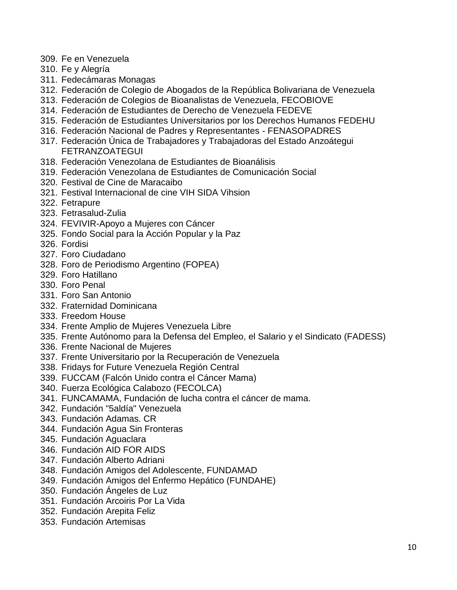- 309. Fe en Venezuela
- 310. Fe y Alegría
- 311. Fedecámaras Monagas
- 312. Federación de Colegio de Abogados de la República Bolivariana de Venezuela
- 313. Federación de Colegios de Bioanalistas de Venezuela, FECOBIOVE
- 314. Federación de Estudiantes de Derecho de Venezuela FEDEVE
- 315. Federación de Estudiantes Universitarios por los Derechos Humanos FEDEHU
- 316. Federación Nacional de Padres y Representantes FENASOPADRES
- 317. Federación Única de Trabajadores y Trabajadoras del Estado Anzoátegui FETRANZOATEGUI
- 318. Federación Venezolana de Estudiantes de Bioanálisis
- 319. Federación Venezolana de Estudiantes de Comunicación Social
- 320. Festival de Cine de Maracaibo
- 321. Festival Internacional de cine VIH SIDA Vihsion
- 322. Fetrapure
- 323. Fetrasalud-Zulia
- 324. FEVIVIR-Apoyo a Mujeres con Cáncer
- 325. Fondo Social para la Acción Popular y la Paz
- 326. Fordisi
- 327. Foro Ciudadano
- 328. Foro de Periodismo Argentino (FOPEA)
- 329. Foro Hatillano
- 330. Foro Penal
- 331. Foro San Antonio
- 332. Fraternidad Dominicana
- 333. Freedom House
- 334. Frente Amplio de Mujeres Venezuela Libre
- 335. Frente Autónomo para la Defensa del Empleo, el Salario y el Sindicato (FADESS)
- 336. Frente Nacional de Mujeres
- 337. Frente Universitario por la Recuperación de Venezuela
- 338. Fridays for Future Venezuela Región Central
- 339. FUCCAM (Falcón Unido contra el Cáncer Mama)
- 340. Fuerza Ecológica Calabozo (FECOLCA)
- 341. FUNCAMAMA, Fundación de lucha contra el cáncer de mama.
- 342. Fundación "5aldía" Venezuela
- 343. Fundación Adamas. CR
- 344. Fundación Agua Sin Fronteras
- 345. Fundación Aguaclara
- 346. Fundación AID FOR AIDS
- 347. Fundación Alberto Adriani
- 348. Fundación Amigos del Adolescente, FUNDAMAD
- 349. Fundación Amigos del Enfermo Hepático (FUNDAHE)
- 350. Fundación Ángeles de Luz
- 351. Fundación Arcoiris Por La Vida
- 352. Fundación Arepita Feliz
- 353. Fundación Artemisas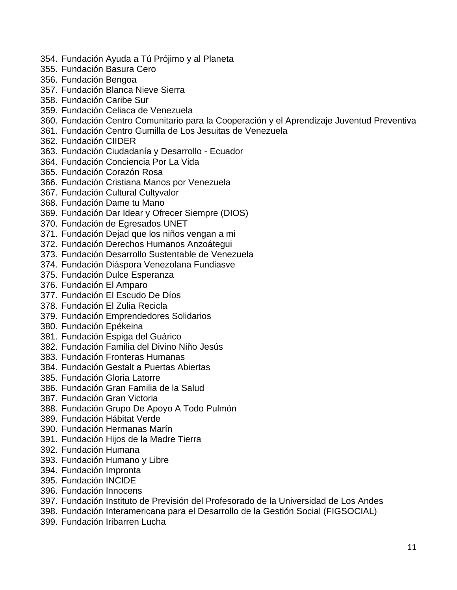- 354. Fundación Ayuda a Tú Prójimo y al Planeta
- 355. Fundación Basura Cero
- 356. Fundación Bengoa
- 357. Fundación Blanca Nieve Sierra
- 358. Fundación Caribe Sur
- 359. Fundación Celiaca de Venezuela
- 360. Fundación Centro Comunitario para la Cooperación y el Aprendizaje Juventud Preventiva
- 361. Fundación Centro Gumilla de Los Jesuitas de Venezuela
- 362. Fundación CIIDER
- 363. Fundación Ciudadanía y Desarrollo Ecuador
- 364. Fundación Conciencia Por La Vida
- 365. Fundación Corazón Rosa
- 366. Fundación Cristiana Manos por Venezuela
- 367. Fundación Cultural Cultyvalor
- 368. Fundación Dame tu Mano
- 369. Fundación Dar Idear y Ofrecer Siempre (DIOS)
- 370. Fundación de Egresados UNET
- 371. Fundación Dejad que los niños vengan a mi
- 372. Fundación Derechos Humanos Anzoátegui
- 373. Fundación Desarrollo Sustentable de Venezuela
- 374. Fundación Diáspora Venezolana Fundiasve
- 375. Fundación Dulce Esperanza
- 376. Fundación El Amparo
- 377. Fundación El Escudo De Díos
- 378. Fundación El Zulia Recicla
- 379. Fundación Emprendedores Solidarios
- 380. Fundación Epékeina
- 381. Fundación Espiga del Guárico
- 382. Fundación Familia del Divino Niño Jesús
- 383. Fundación Fronteras Humanas
- 384. Fundación Gestalt a Puertas Abiertas
- 385. Fundación Gloria Latorre
- 386. Fundación Gran Familia de la Salud
- 387. Fundación Gran Victoria
- 388. Fundación Grupo De Apoyo A Todo Pulmón
- 389. Fundación Hábitat Verde
- 390. Fundación Hermanas Marín
- 391. Fundación Hijos de la Madre Tierra
- 392. Fundación Humana
- 393. Fundación Humano y Libre
- 394. Fundación Impronta
- 395. Fundación INCIDE
- 396. Fundación Innocens
- 397. Fundación Instituto de Previsión del Profesorado de la Universidad de Los Andes
- 398. Fundación Interamericana para el Desarrollo de la Gestión Social (FIGSOCIAL)
- 399. Fundación Iribarren Lucha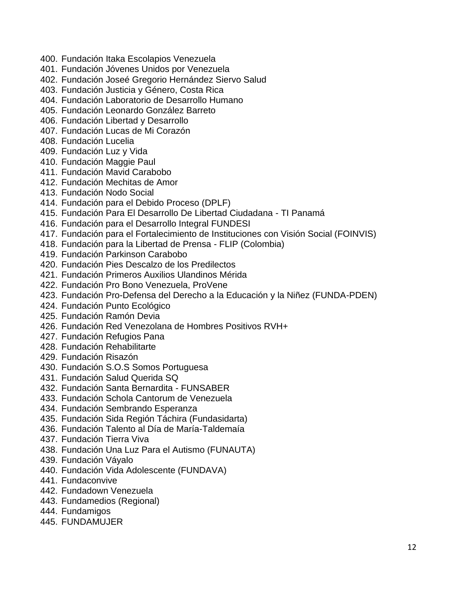- 400. Fundación Itaka Escolapios Venezuela
- 401. Fundación Jóvenes Unidos por Venezuela
- 402. Fundación Joseé Gregorio Hernández Siervo Salud
- 403. Fundación Justicia y Género, Costa Rica
- 404. Fundación Laboratorio de Desarrollo Humano
- 405. Fundación Leonardo González Barreto
- 406. Fundación Libertad y Desarrollo
- 407. Fundación Lucas de Mi Corazón
- 408. Fundación Lucelia
- 409. Fundación Luz y Vida
- 410. Fundación Maggie Paul
- 411. Fundación Mavid Carabobo
- 412. Fundación Mechitas de Amor
- 413. Fundación Nodo Social
- 414. Fundación para el Debido Proceso (DPLF)
- 415. Fundación Para El Desarrollo De Libertad Ciudadana TI Panamá
- 416. Fundación para el Desarrollo Integral FUNDESI
- 417. Fundación para el Fortalecimiento de Instituciones con Visión Social (FOINVIS)
- 418. Fundación para la Libertad de Prensa FLIP (Colombia)
- 419. Fundación Parkinson Carabobo
- 420. Fundación Pies Descalzo de los Predilectos
- 421. Fundación Primeros Auxilios Ulandinos Mérida
- 422. Fundación Pro Bono Venezuela, ProVene
- 423. Fundación Pro-Defensa del Derecho a la Educación y la Niñez (FUNDA-PDEN)
- 424. Fundación Punto Ecológico
- 425. Fundación Ramón Devia
- 426. Fundación Red Venezolana de Hombres Positivos RVH+
- 427. Fundación Refugios Pana
- 428. Fundación Rehabilitarte
- 429. Fundación Risazón
- 430. Fundación S.O.S Somos Portuguesa
- 431. Fundación Salud Querida SQ
- 432. Fundación Santa Bernardita FUNSABER
- 433. Fundación Schola Cantorum de Venezuela
- 434. Fundación Sembrando Esperanza
- 435. Fundación Sida Región Táchira (Fundasidarta)
- 436. Fundación Talento al Día de María-Taldemaía
- 437. Fundación Tierra Viva
- 438. Fundación Una Luz Para el Autismo (FUNAUTA)
- 439. Fundación Váyalo
- 440. Fundación Vida Adolescente (FUNDAVA)
- 441. Fundaconvive
- 442. Fundadown Venezuela
- 443. Fundamedios (Regional)
- 444. Fundamigos
- 445. FUNDAMUJER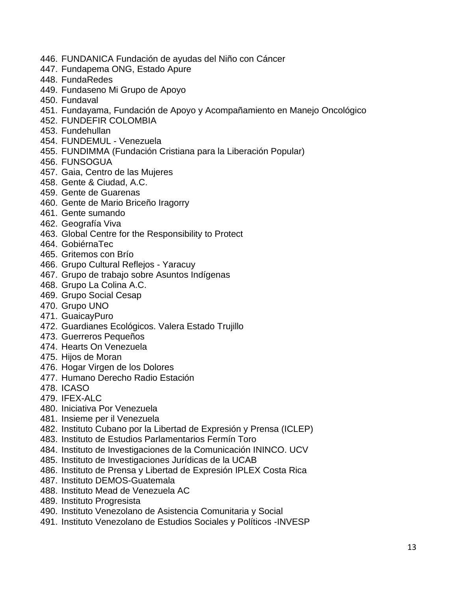- 446. FUNDANICA Fundación de ayudas del Niño con Cáncer
- 447. Fundapema ONG, Estado Apure
- 448. FundaRedes
- 449. Fundaseno Mi Grupo de Apoyo
- 450. Fundaval
- 451. Fundayama, Fundación de Apoyo y Acompañamiento en Manejo Oncológico
- 452. FUNDEFIR COLOMBIA
- 453. Fundehullan
- 454. FUNDEMUL Venezuela
- 455. FUNDIMMA (Fundación Cristiana para la Liberación Popular)
- 456. FUNSOGUA
- 457. Gaia, Centro de las Mujeres
- 458. Gente & Ciudad, A.C.
- 459. Gente de Guarenas
- 460. Gente de Mario Briceño Iragorry
- 461. Gente sumando
- 462. Geografía Viva
- 463. Global Centre for the Responsibility to Protect
- 464. GobiérnaTec
- 465. Gritemos con Brío
- 466. Grupo Cultural Reflejos Yaracuy
- 467. Grupo de trabajo sobre Asuntos Indígenas
- 468. Grupo La Colina A.C.
- 469. Grupo Social Cesap
- 470. Grupo UNO
- 471. GuaicayPuro
- 472. Guardianes Ecológicos. Valera Estado Trujillo
- 473. Guerreros Pequeños
- 474. Hearts On Venezuela
- 475. Hijos de Moran
- 476. Hogar Virgen de los Dolores
- 477. Humano Derecho Radio Estación
- 478. ICASO
- 479. IFEX-ALC
- 480. Iniciativa Por Venezuela
- 481. Insieme per il Venezuela
- 482. Instituto Cubano por la Libertad de Expresión y Prensa (ICLEP)
- 483. Instituto de Estudios Parlamentarios Fermín Toro
- 484. Instituto de Investigaciones de la Comunicación ININCO. UCV
- 485. Instituto de Investigaciones Jurídicas de la UCAB
- 486. Instituto de Prensa y Libertad de Expresión IPLEX Costa Rica
- 487. Instituto DEMOS-Guatemala
- 488. Instituto Mead de Venezuela AC
- 489. Instituto Progresista
- 490. Instituto Venezolano de Asistencia Comunitaria y Social
- 491. Instituto Venezolano de Estudios Sociales y Políticos -INVESP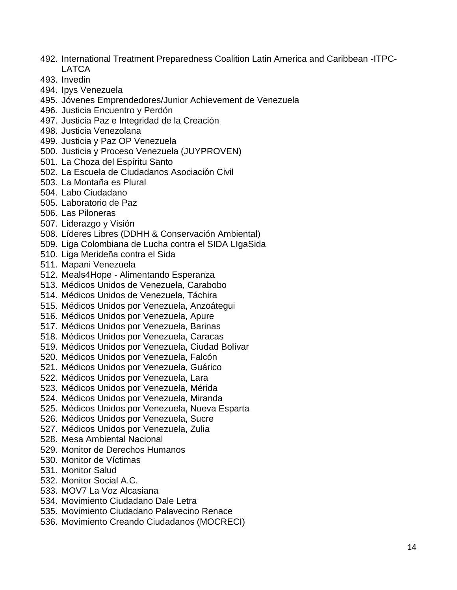- 492. International Treatment Preparedness Coalition Latin America and Caribbean -ITPC-LATCA
- 493. Invedin
- 494. Ipys Venezuela
- 495. Jóvenes Emprendedores/Junior Achievement de Venezuela
- 496. Justicia Encuentro y Perdón
- 497. Justicia Paz e Integridad de la Creación
- 498. Justicia Venezolana
- 499. Justicia y Paz OP Venezuela
- 500. Justicia y Proceso Venezuela (JUYPROVEN)
- 501. La Choza del Espíritu Santo
- 502. La Escuela de Ciudadanos Asociación Civil
- 503. La Montaña es Plural
- 504. Labo Ciudadano
- 505. Laboratorio de Paz
- 506. Las Piloneras
- 507. Liderazgo y Visión
- 508. Líderes Libres (DDHH & Conservación Ambiental)
- 509. Liga Colombiana de Lucha contra el SIDA LIgaSida
- 510. Liga Merideña contra el Sida
- 511. Mapani Venezuela
- 512. Meals4Hope Alimentando Esperanza
- 513. Médicos Unidos de Venezuela, Carabobo
- 514. Médicos Unidos de Venezuela, Táchira
- 515. Médicos Unidos por Venezuela, Anzoátegui
- 516. Médicos Unidos por Venezuela, Apure
- 517. Médicos Unidos por Venezuela, Barinas
- 518. Médicos Unidos por Venezuela, Caracas
- 519. Médicos Unidos por Venezuela, Ciudad Bolívar
- 520. Médicos Unidos por Venezuela, Falcón
- 521. Médicos Unidos por Venezuela, Guárico
- 522. Médicos Unidos por Venezuela, Lara
- 523. Médicos Unidos por Venezuela, Mérida
- 524. Médicos Unidos por Venezuela, Miranda
- 525. Médicos Unidos por Venezuela, Nueva Esparta
- 526. Médicos Unidos por Venezuela, Sucre
- 527. Médicos Unidos por Venezuela, Zulia
- 528. Mesa Ambiental Nacional
- 529. Monitor de Derechos Humanos
- 530. Monitor de Víctimas
- 531. Monitor Salud
- 532. Monitor Social A.C.
- 533. MOV7 La Voz Alcasiana
- 534. Movimiento Ciudadano Dale Letra
- 535. Movimiento Ciudadano Palavecino Renace
- 536. Movimiento Creando Ciudadanos (MOCRECI)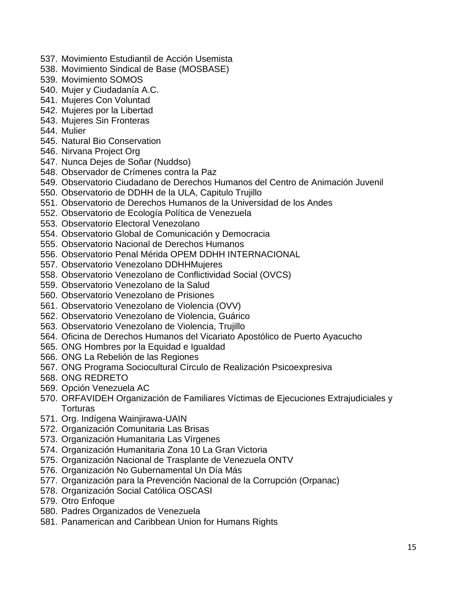- 537. Movimiento Estudiantil de Acción Usemista
- 538. Movimiento Sindical de Base (MOSBASE)
- 539. Movimiento SOMOS
- 540. Mujer y Ciudadanía A.C.
- 541. Mujeres Con Voluntad
- 542. Mujeres por la Libertad
- 543. Mujeres Sin Fronteras
- 544. Mulier
- 545. Natural Bio Conservation
- 546. Nirvana Project Org
- 547. Nunca Dejes de Soñar (Nuddso)
- 548. Observador de Crímenes contra la Paz
- 549. Observatorio Ciudadano de Derechos Humanos del Centro de Animación Juvenil
- 550. Observatorio de DDHH de la ULA, Capitulo Trujillo
- 551. Observatorio de Derechos Humanos de la Universidad de los Andes
- 552. Observatorio de Ecología Política de Venezuela
- 553. Observatorio Electoral Venezolano
- 554. Observatorio Global de Comunicación y Democracia
- 555. Observatorio Nacional de Derechos Humanos
- 556. Observatorio Penal Mérida OPEM DDHH INTERNACIONAL
- 557. Observatorio Venezolano DDHHMujeres
- 558. Observatorio Venezolano de Conflictividad Social (OVCS)
- 559. Observatorio Venezolano de la Salud
- 560. Observatorio Venezolano de Prisiones
- 561. Observatorio Venezolano de Violencia (OVV)
- 562. Observatorio Venezolano de Violencia, Guárico
- 563. Observatorio Venezolano de Violencia, Trujillo
- 564. Oficina de Derechos Humanos del Vicariato Apostólico de Puerto Ayacucho
- 565. ONG Hombres por la Equidad e Igualdad
- 566. ONG La Rebelión de las Regiones
- 567. ONG Programa Sociocultural Círculo de Realización Psicoexpresiva
- 568. ONG REDRETO
- 569. Opción Venezuela AC
- 570. ORFAVIDEH Organización de Familiares Víctimas de Ejecuciones Extrajudiciales y Torturas
- 571. Org. Indígena Wainjirawa-UAIN
- 572. Organización Comunitaria Las Brisas
- 573. Organización Humanitaria Las Vírgenes
- 574. Organización Humanitaria Zona 10 La Gran Victoria
- 575. Organización Nacional de Trasplante de Venezuela ONTV
- 576. Organización No Gubernamental Un Día Más
- 577. Organización para la Prevención Nacional de la Corrupción (Orpanac)
- 578. Organización Social Católica OSCASI
- 579. Otro Enfoque
- 580. Padres Organizados de Venezuela
- 581. Panamerican and Caribbean Union for Humans Rights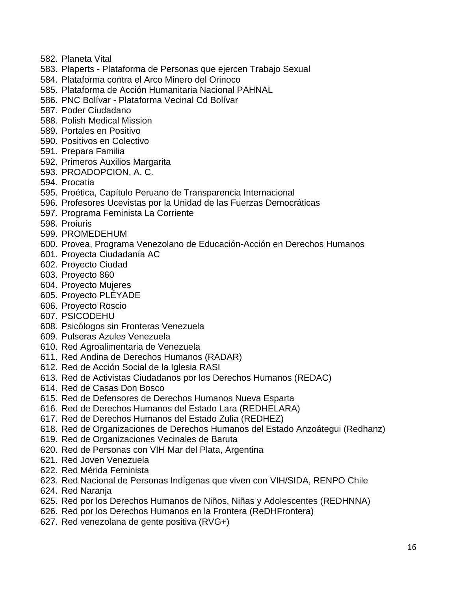- 582. Planeta Vital
- 583. Plaperts Plataforma de Personas que ejercen Trabajo Sexual
- 584. Plataforma contra el Arco Minero del Orinoco
- 585. Plataforma de Acción Humanitaria Nacional PAHNAL
- 586. PNC Bolívar Plataforma Vecinal Cd Bolívar
- 587. Poder Ciudadano
- 588. Polish Medical Mission
- 589. Portales en Positivo
- 590. Positivos en Colectivo
- 591. Prepara Familia
- 592. Primeros Auxilios Margarita
- 593. PROADOPCION, A. C.
- 594. Procatia
- 595. Proética, Capítulo Peruano de Transparencia Internacional
- 596. Profesores Ucevistas por la Unidad de las Fuerzas Democráticas
- 597. Programa Feminista La Corriente
- 598. Proiuris
- 599. PROMEDEHUM
- 600. Provea, Programa Venezolano de Educación-Acción en Derechos Humanos
- 601. Proyecta Ciudadanía AC
- 602. Proyecto Ciudad
- 603. Proyecto 860
- 604. Proyecto Mujeres
- 605. Proyecto PLÉYADE
- 606. Proyecto Roscio
- 607. PSICODEHU
- 608. Psicólogos sin Fronteras Venezuela
- 609. Pulseras Azules Venezuela
- 610. Red Agroalimentaria de Venezuela
- 611. Red Andina de Derechos Humanos (RADAR)
- 612. Red de Acción Social de la Iglesia RASI
- 613. Red de Activistas Ciudadanos por los Derechos Humanos (REDAC)
- 614. Red de Casas Don Bosco
- 615. Red de Defensores de Derechos Humanos Nueva Esparta
- 616. Red de Derechos Humanos del Estado Lara (REDHELARA)
- 617. Red de Derechos Humanos del Estado Zulia (REDHEZ)
- 618. Red de Organizaciones de Derechos Humanos del Estado Anzoátegui (Redhanz)
- 619. Red de Organizaciones Vecinales de Baruta
- 620. Red de Personas con VIH Mar del Plata, Argentina
- 621. Red Joven Venezuela
- 622. Red Mérida Feminista
- 623. Red Nacional de Personas Indígenas que viven con VIH/SIDA, RENPO Chile
- 624. Red Naranja
- 625. Red por los Derechos Humanos de Niños, Niñas y Adolescentes (REDHNNA)
- 626. Red por los Derechos Humanos en la Frontera (ReDHFrontera)
- 627. Red venezolana de gente positiva (RVG+)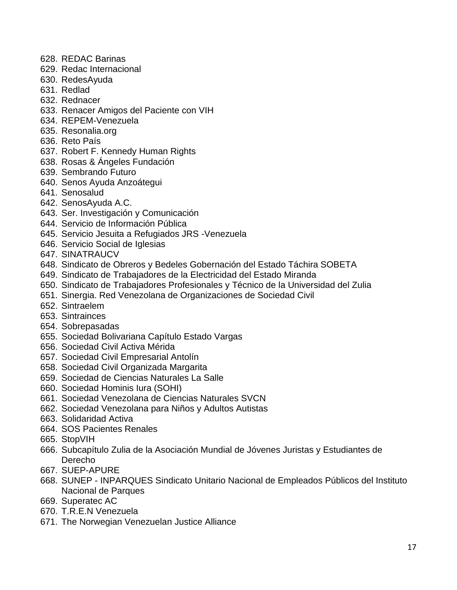- 628. REDAC Barinas
- 629. Redac Internacional
- 630. RedesAyuda
- 631. Redlad
- 632. Rednacer
- 633. Renacer Amigos del Paciente con VIH
- 634. REPEM-Venezuela
- 635. Resonalia.org
- 636. Reto País
- 637. Robert F. Kennedy Human Rights
- 638. Rosas & Ángeles Fundación
- 639. Sembrando Futuro
- 640. Senos Ayuda Anzoátegui
- 641. Senosalud
- 642. SenosAyuda A.C.
- 643. Ser. Investigación y Comunicación
- 644. Servicio de Información Pública
- 645. Servicio Jesuita a Refugiados JRS -Venezuela
- 646. Servicio Social de Iglesias
- 647. SINATRAUCV
- 648. Sindicato de Obreros y Bedeles Gobernación del Estado Táchira SOBETA
- 649. Sindicato de Trabajadores de la Electricidad del Estado Miranda
- 650. Sindicato de Trabajadores Profesionales y Técnico de la Universidad del Zulia
- 651. Sinergia. Red Venezolana de Organizaciones de Sociedad Civil
- 652. Sintraelem
- 653. Sintrainces
- 654. Sobrepasadas
- 655. Sociedad Bolivariana Capítulo Estado Vargas
- 656. Sociedad Civil Activa Mérida
- 657. Sociedad Civil Empresarial Antolín
- 658. Sociedad Civil Organizada Margarita
- 659. Sociedad de Ciencias Naturales La Salle
- 660. Sociedad Hominis Iura (SOHI)
- 661. Sociedad Venezolana de Ciencias Naturales SVCN
- 662. Sociedad Venezolana para Niños y Adultos Autistas
- 663. Solidaridad Activa
- 664. SOS Pacientes Renales
- 665. StopVIH
- 666. Subcapítulo Zulia de la Asociación Mundial de Jóvenes Juristas y Estudiantes de Derecho
- 667. SUEP-APURE
- 668. SUNEP INPARQUES Sindicato Unitario Nacional de Empleados Públicos del Instituto Nacional de Parques
- 669. Superatec AC
- 670. T.R.E.N Venezuela
- 671. The Norwegian Venezuelan Justice Alliance